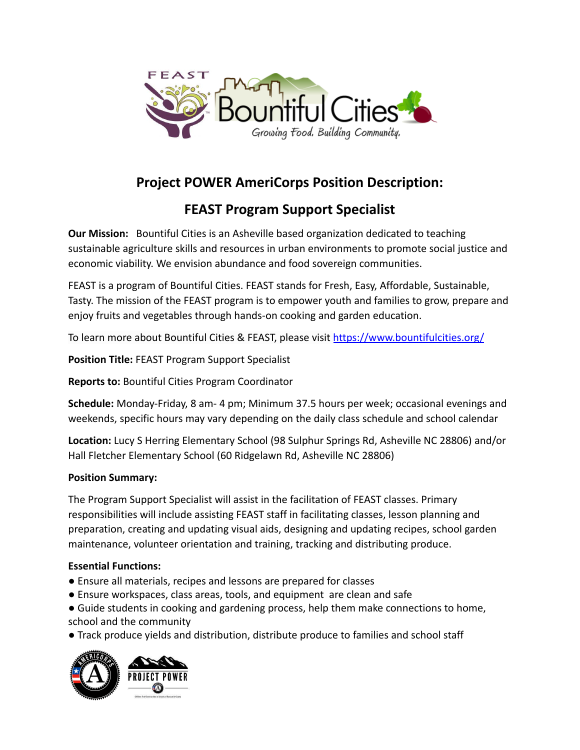

# **Project POWER AmeriCorps Position Description:**

# **FEAST Program Support Specialist**

**Our Mission:** Bountiful Cities is an Asheville based organization dedicated to teaching sustainable agriculture skills and resources in urban environments to promote social justice and economic viability. We envision abundance and food sovereign communities.

FEAST is a program of Bountiful Cities. FEAST stands for Fresh, Easy, Affordable, Sustainable, Tasty. The mission of the FEAST program is to empower youth and families to grow, prepare and enjoy fruits and vegetables through hands-on cooking and garden education.

To learn more about Bountiful Cities & FEAST, please visit <https://www.bountifulcities.org/>

**Position Title:** FEAST Program Support Specialist

**Reports to:** Bountiful Cities Program Coordinator

**Schedule:** Monday-Friday, 8 am- 4 pm; Minimum 37.5 hours per week; occasional evenings and weekends, specific hours may vary depending on the daily class schedule and school calendar

**Location:** Lucy S Herring Elementary School (98 Sulphur Springs Rd, Asheville NC 28806) and/or Hall Fletcher Elementary School (60 Ridgelawn Rd, Asheville NC 28806)

### **Position Summary:**

The Program Support Specialist will assist in the facilitation of FEAST classes. Primary responsibilities will include assisting FEAST staff in facilitating classes, lesson planning and preparation, creating and updating visual aids, designing and updating recipes, school garden maintenance, volunteer orientation and training, tracking and distributing produce.

## **Essential Functions:**

- Ensure all materials, recipes and lessons are prepared for classes
- Ensure workspaces, class areas, tools, and equipment are clean and safe
- Guide students in cooking and gardening process, help them make connections to home, school and the community
- Track produce yields and distribution, distribute produce to families and school staff